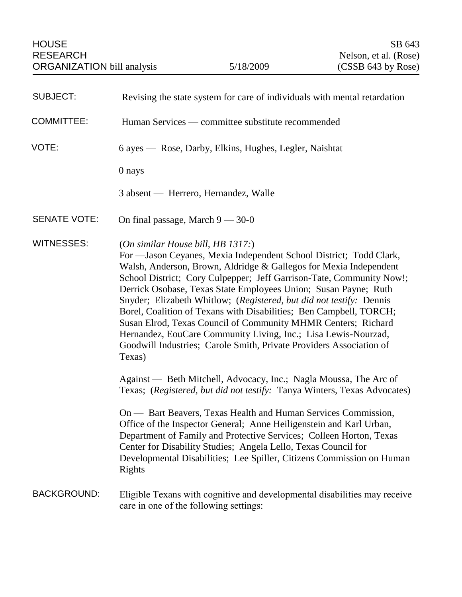| <b>SUBJECT:</b>     | Revising the state system for care of individuals with mental retardation                                                                                                                                                                                                                                                                                                                                                                                                                                                                                                                                                                                                                |
|---------------------|------------------------------------------------------------------------------------------------------------------------------------------------------------------------------------------------------------------------------------------------------------------------------------------------------------------------------------------------------------------------------------------------------------------------------------------------------------------------------------------------------------------------------------------------------------------------------------------------------------------------------------------------------------------------------------------|
| <b>COMMITTEE:</b>   | Human Services — committee substitute recommended                                                                                                                                                                                                                                                                                                                                                                                                                                                                                                                                                                                                                                        |
| VOTE:               | 6 ayes — Rose, Darby, Elkins, Hughes, Legler, Naishtat                                                                                                                                                                                                                                                                                                                                                                                                                                                                                                                                                                                                                                   |
|                     | 0 nays                                                                                                                                                                                                                                                                                                                                                                                                                                                                                                                                                                                                                                                                                   |
|                     | 3 absent — Herrero, Hernandez, Walle                                                                                                                                                                                                                                                                                                                                                                                                                                                                                                                                                                                                                                                     |
| <b>SENATE VOTE:</b> | On final passage, March $9 - 30 - 0$                                                                                                                                                                                                                                                                                                                                                                                                                                                                                                                                                                                                                                                     |
| <b>WITNESSES:</b>   | (On similar House bill, HB 1317.)<br>For -Jason Ceyanes, Mexia Independent School District; Todd Clark,<br>Walsh, Anderson, Brown, Aldridge & Gallegos for Mexia Independent<br>School District; Cory Culpepper; Jeff Garrison-Tate, Community Now!;<br>Derrick Osobase, Texas State Employees Union; Susan Payne; Ruth<br>Snyder; Elizabeth Whitlow; (Registered, but did not testify: Dennis<br>Borel, Coalition of Texans with Disabilities; Ben Campbell, TORCH;<br>Susan Elrod, Texas Council of Community MHMR Centers; Richard<br>Hernandez, EouCare Community Living, Inc.; Lisa Lewis-Nourzad,<br>Goodwill Industries; Carole Smith, Private Providers Association of<br>Texas) |
|                     | Against — Beth Mitchell, Advocacy, Inc.; Nagla Moussa, The Arc of<br>Texas; (Registered, but did not testify: Tanya Winters, Texas Advocates)                                                                                                                                                                                                                                                                                                                                                                                                                                                                                                                                            |
|                     | On — Bart Beavers, Texas Health and Human Services Commission,<br>Office of the Inspector General; Anne Heiligenstein and Karl Urban,<br>Department of Family and Protective Services; Colleen Horton, Texas<br>Center for Disability Studies; Angela Lello, Texas Council for<br>Developmental Disabilities; Lee Spiller, Citizens Commission on Human<br>Rights                                                                                                                                                                                                                                                                                                                        |
| <b>BACKGROUND:</b>  | Eligible Texans with cognitive and developmental disabilities may receive<br>care in one of the following settings:                                                                                                                                                                                                                                                                                                                                                                                                                                                                                                                                                                      |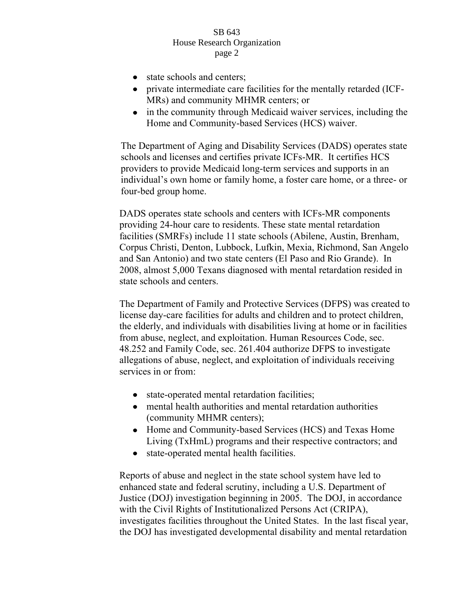- state schools and centers;
- private intermediate care facilities for the mentally retarded (ICF-MRs) and community MHMR centers; or
- in the community through Medicaid waiver services, including the Home and Community-based Services (HCS) waiver.

The Department of Aging and Disability Services (DADS) operates state schools and licenses and certifies private ICFs-MR. It certifies HCS providers to provide Medicaid long-term services and supports in an individual's own home or family home, a foster care home, or a three- or four-bed group home.

DADS operates state schools and centers with ICFs-MR components providing 24-hour care to residents. These state mental retardation facilities (SMRFs) include 11 state schools (Abilene, Austin, Brenham, Corpus Christi, Denton, Lubbock, Lufkin, Mexia, Richmond, San Angelo and San Antonio) and two state centers (El Paso and Rio Grande). In 2008, almost 5,000 Texans diagnosed with mental retardation resided in state schools and centers.

The Department of Family and Protective Services (DFPS) was created to license day-care facilities for adults and children and to protect children, the elderly, and individuals with disabilities living at home or in facilities from abuse, neglect, and exploitation. Human Resources Code, sec. 48.252 and Family Code, sec. 261.404 authorize DFPS to investigate allegations of abuse, neglect, and exploitation of individuals receiving services in or from:

- state-operated mental retardation facilities;
- mental health authorities and mental retardation authorities (community MHMR centers);
- Home and Community-based Services (HCS) and Texas Home Living (TxHmL) programs and their respective contractors; and
- state-operated mental health facilities.  $\bullet$

Reports of abuse and neglect in the state school system have led to enhanced state and federal scrutiny, including a U.S. Department of Justice (DOJ) investigation beginning in 2005. The DOJ, in accordance with the Civil Rights of Institutionalized Persons Act (CRIPA), investigates facilities throughout the United States. In the last fiscal year, the DOJ has investigated developmental disability and mental retardation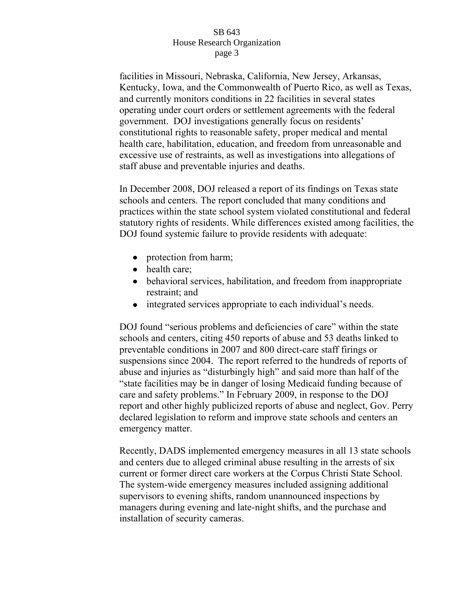facilities in Missouri, Nebraska, California, New Jersey, Arkansas, Kentucky, Iowa, and the Commonwealth of Puerto Rico, as well as Texas, and currently monitors conditions in 22 facilities in several states operating under court orders or settlement agreements with the federal government. DOJ investigations generally focus on residents' constitutional rights to reasonable safety, proper medical and mental health care, habilitation, education, and freedom from unreasonable and excessive use of restraints, as well as investigations into allegations of staff abuse and preventable injuries and deaths.

In December 2008, DOJ released a report of its findings on Texas state schools and centers. The report concluded that many conditions and practices within the state school system violated constitutional and federal statutory rights of residents. While differences existed among facilities, the DOJ found systemic failure to provide residents with adequate:

- protection from harm;
- health care;
- behavioral services, habilitation, and freedom from inappropriate restraint; and
- integrated services appropriate to each individual's needs.

DOJ found "serious problems and deficiencies of care" within the state schools and centers, citing 450 reports of abuse and 53 deaths linked to preventable conditions in 2007 and 800 direct-care staff firings or suspensions since 2004. The report referred to the hundreds of reports of abuse and injuries as "disturbingly high" and said more than half of the "state facilities may be in danger of losing Medicaid funding because of care and safety problems." In February 2009, in response to the DOJ report and other highly publicized reports of abuse and neglect, Gov. Perry declared legislation to reform and improve state schools and centers an emergency matter.

Recently, DADS implemented emergency measures in all 13 state schools and centers due to alleged criminal abuse resulting in the arrests of six current or former direct care workers at the Corpus Christi State School. The system-wide emergency measures included assigning additional supervisors to evening shifts, random unannounced inspections by managers during evening and late-night shifts, and the purchase and installation of security cameras.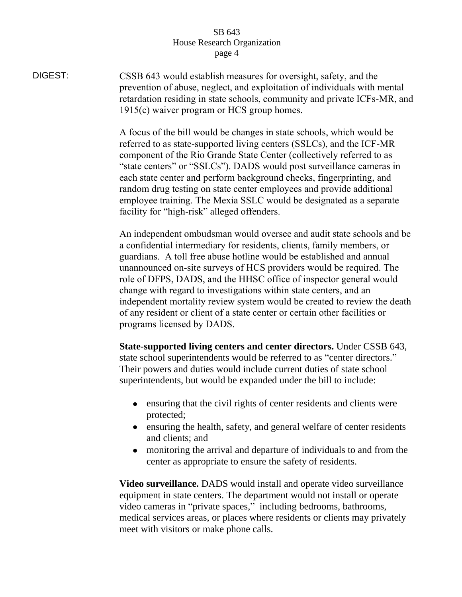DIGEST: CSSB 643 would establish measures for oversight, safety, and the prevention of abuse, neglect, and exploitation of individuals with mental retardation residing in state schools, community and private ICFs-MR, and 1915(c) waiver program or HCS group homes.

> A focus of the bill would be changes in state schools, which would be referred to as state-supported living centers (SSLCs), and the ICF-MR component of the Rio Grande State Center (collectively referred to as "state centers" or "SSLCs"). DADS would post surveillance cameras in each state center and perform background checks, fingerprinting, and random drug testing on state center employees and provide additional employee training. The Mexia SSLC would be designated as a separate facility for "high-risk" alleged offenders.

An independent ombudsman would oversee and audit state schools and be a confidential intermediary for residents, clients, family members, or guardians. A toll free abuse hotline would be established and annual unannounced on-site surveys of HCS providers would be required. The role of DFPS, DADS, and the HHSC office of inspector general would change with regard to investigations within state centers, and an independent mortality review system would be created to review the death of any resident or client of a state center or certain other facilities or programs licensed by DADS.

**State-supported living centers and center directors.** Under CSSB 643, state school superintendents would be referred to as "center directors." Their powers and duties would include current duties of state school superintendents, but would be expanded under the bill to include:

- ensuring that the civil rights of center residents and clients were protected;
- ensuring the health, safety, and general welfare of center residents and clients; and
- monitoring the arrival and departure of individuals to and from the  $\bullet$ center as appropriate to ensure the safety of residents.

**Video surveillance.** DADS would install and operate video surveillance equipment in state centers. The department would not install or operate video cameras in "private spaces," including bedrooms, bathrooms, medical services areas, or places where residents or clients may privately meet with visitors or make phone calls.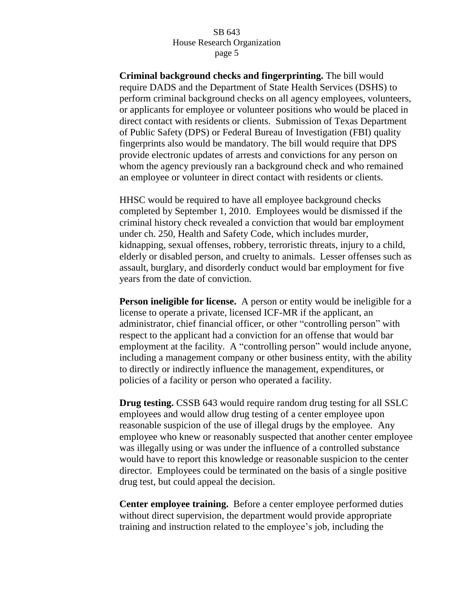**Criminal background checks and fingerprinting.** The bill would require DADS and the Department of State Health Services (DSHS) to perform criminal background checks on all agency employees, volunteers, or applicants for employee or volunteer positions who would be placed in direct contact with residents or clients. Submission of Texas Department of Public Safety (DPS) or Federal Bureau of Investigation (FBI) quality fingerprints also would be mandatory. The bill would require that DPS provide electronic updates of arrests and convictions for any person on whom the agency previously ran a background check and who remained an employee or volunteer in direct contact with residents or clients.

HHSC would be required to have all employee background checks completed by September 1, 2010. Employees would be dismissed if the criminal history check revealed a conviction that would bar employment under ch. 250, Health and Safety Code, which includes murder, kidnapping, sexual offenses, robbery, terroristic threats, injury to a child, elderly or disabled person, and cruelty to animals. Lesser offenses such as assault, burglary, and disorderly conduct would bar employment for five years from the date of conviction.

**Person ineligible for license.** A person or entity would be ineligible for a license to operate a private, licensed ICF-MR if the applicant, an administrator, chief financial officer, or other "controlling person" with respect to the applicant had a conviction for an offense that would bar employment at the facility. A "controlling person" would include anyone, including a management company or other business entity, with the ability to directly or indirectly influence the management, expenditures, or policies of a facility or person who operated a facility.

**Drug testing.** CSSB 643 would require random drug testing for all SSLC employees and would allow drug testing of a center employee upon reasonable suspicion of the use of illegal drugs by the employee. Any employee who knew or reasonably suspected that another center employee was illegally using or was under the influence of a controlled substance would have to report this knowledge or reasonable suspicion to the center director. Employees could be terminated on the basis of a single positive drug test, but could appeal the decision.

**Center employee training.**Before a center employee performed duties without direct supervision, the department would provide appropriate training and instruction related to the employee"s job, including the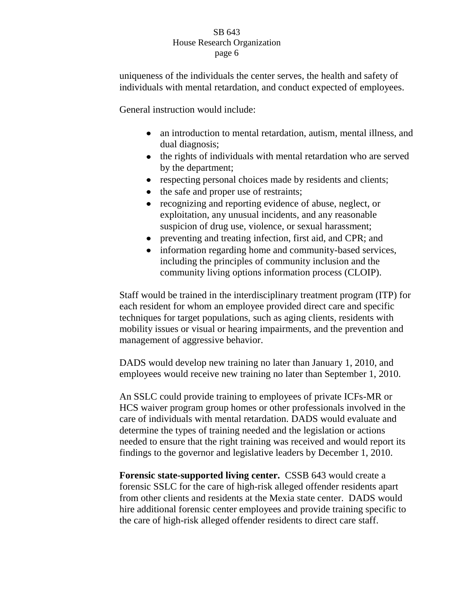uniqueness of the individuals the center serves, the health and safety of individuals with mental retardation, and conduct expected of employees.

General instruction would include:

- an introduction to mental retardation, autism*,* mental illness, and dual diagnosis;
- the rights of individuals with mental retardation who are served by the department;
- respecting personal choices made by residents and clients;
- the safe and proper use of restraints;  $\bullet$
- recognizing and reporting evidence of abuse, neglect, or  $\bullet$ exploitation, any unusual incidents, and any reasonable suspicion of drug use, violence, or sexual harassment;
- preventing and treating infection, first aid, and CPR; and
- information regarding home and community-based services, including the principles of community inclusion and the community living options information process (CLOIP).

Staff would be trained in the interdisciplinary treatment program (ITP) for each resident for whom an employee provided direct care and specific techniques for target populations, such as aging clients, residents with mobility issues or visual or hearing impairments, and the prevention and management of aggressive behavior.

DADS would develop new training no later than January 1, 2010, and employees would receive new training no later than September 1, 2010.

An SSLC could provide training to employees of private ICFs-MR or HCS waiver program group homes or other professionals involved in the care of individuals with mental retardation. DADS would evaluate and determine the types of training needed and the legislation or actions needed to ensure that the right training was received and would report its findings to the governor and legislative leaders by December 1, 2010.

**Forensic state-supported living center.** CSSB 643 would create a forensic SSLC for the care of high-risk alleged offender residents apart from other clients and residents at the Mexia state center. DADS would hire additional forensic center employees and provide training specific to the care of high-risk alleged offender residents to direct care staff.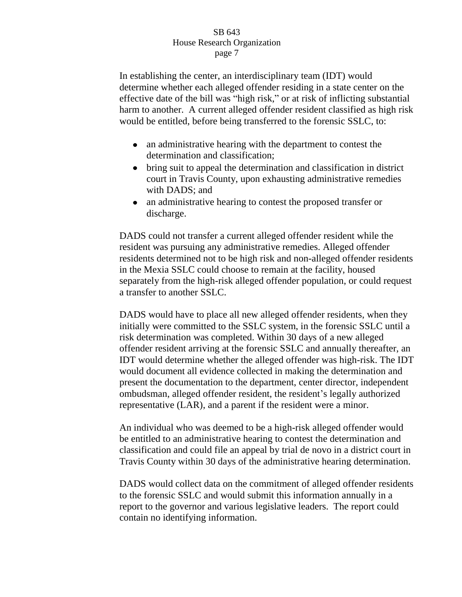In establishing the center, an interdisciplinary team (IDT) would determine whether each alleged offender residing in a state center on the effective date of the bill was "high risk," or at risk of inflicting substantial harm to another. A current alleged offender resident classified as high risk would be entitled, before being transferred to the forensic SSLC, to:

- an administrative hearing with the department to contest the determination and classification;
- bring suit to appeal the determination and classification in district court in Travis County, upon exhausting administrative remedies with DADS; and
- an administrative hearing to contest the proposed transfer or discharge.

DADS could not transfer a current alleged offender resident while the resident was pursuing any administrative remedies. Alleged offender residents determined not to be high risk and non-alleged offender residents in the Mexia SSLC could choose to remain at the facility, housed separately from the high-risk alleged offender population, or could request a transfer to another SSLC.

DADS would have to place all new alleged offender residents, when they initially were committed to the SSLC system, in the forensic SSLC until a risk determination was completed. Within 30 days of a new alleged offender resident arriving at the forensic SSLC and annually thereafter, an IDT would determine whether the alleged offender was high-risk. The IDT would document all evidence collected in making the determination and present the documentation to the department, center director, independent ombudsman, alleged offender resident, the resident"s legally authorized representative (LAR), and a parent if the resident were a minor.

An individual who was deemed to be a high-risk alleged offender would be entitled to an administrative hearing to contest the determination and classification and could file an appeal by trial de novo in a district court in Travis County within 30 days of the administrative hearing determination.

DADS would collect data on the commitment of alleged offender residents to the forensic SSLC and would submit this information annually in a report to the governor and various legislative leaders. The report could contain no identifying information.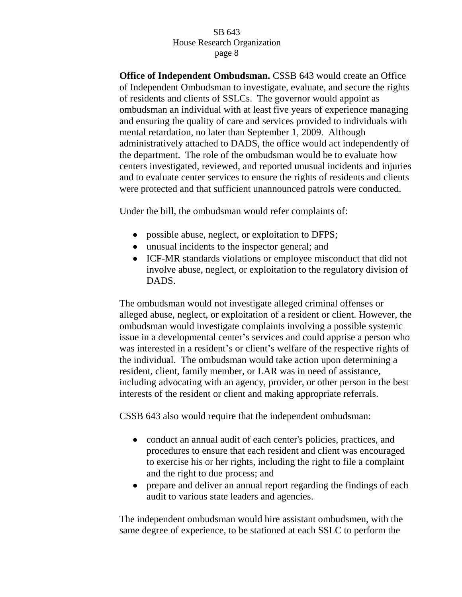**Office of Independent Ombudsman.** CSSB 643 would create an Office of Independent Ombudsman to investigate, evaluate, and secure the rights of residents and clients of SSLCs. The governor would appoint as ombudsman an individual with at least five years of experience managing and ensuring the quality of care and services provided to individuals with mental retardation, no later than September 1, 2009. Although administratively attached to DADS, the office would act independently of the department. The role of the ombudsman would be to evaluate how centers investigated, reviewed, and reported unusual incidents and injuries and to evaluate center services to ensure the rights of residents and clients were protected and that sufficient unannounced patrols were conducted.

Under the bill, the ombudsman would refer complaints of:

- possible abuse, neglect, or exploitation to DFPS;
- unusual incidents to the inspector general; and
- ICF-MR standards violations or employee misconduct that did not involve abuse, neglect, or exploitation to the regulatory division of DADS.

The ombudsman would not investigate alleged criminal offenses or alleged abuse, neglect, or exploitation of a resident or client. However, the ombudsman would investigate complaints involving a possible systemic issue in a developmental center's services and could apprise a person who was interested in a resident's or client's welfare of the respective rights of the individual. The ombudsman would take action upon determining a resident, client, family member, or LAR was in need of assistance, including advocating with an agency, provider, or other person in the best interests of the resident or client and making appropriate referrals.

CSSB 643 also would require that the independent ombudsman:

- conduct an annual audit of each center's policies, practices, and procedures to ensure that each resident and client was encouraged to exercise his or her rights, including the right to file a complaint and the right to due process; and
- prepare and deliver an annual report regarding the findings of each  $\bullet$ audit to various state leaders and agencies.

The independent ombudsman would hire assistant ombudsmen, with the same degree of experience, to be stationed at each SSLC to perform the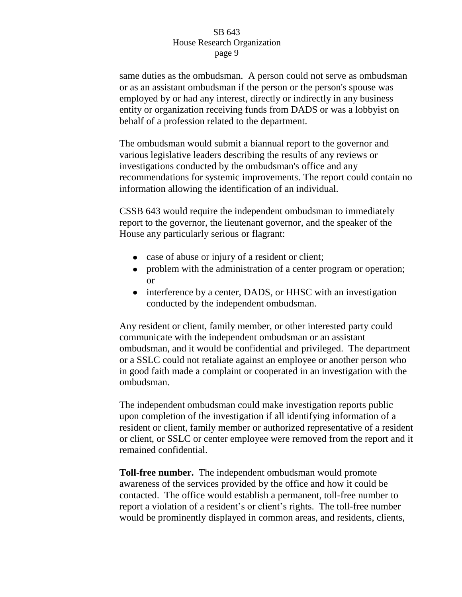same duties as the ombudsman. A person could not serve as ombudsman or as an assistant ombudsman if the person or the person's spouse was employed by or had any interest, directly or indirectly in any business entity or organization receiving funds from DADS or was a lobbyist on behalf of a profession related to the department.

The ombudsman would submit a biannual report to the governor and various legislative leaders describing the results of any reviews or investigations conducted by the ombudsman's office and any recommendations for systemic improvements. The report could contain no information allowing the identification of an individual.

CSSB 643 would require the independent ombudsman to immediately report to the governor, the lieutenant governor, and the speaker of the House any particularly serious or flagrant:

- case of abuse or injury of a resident or client;
- problem with the administration of a center program or operation; or
- interference by a center, DADS, or HHSC with an investigation conducted by the independent ombudsman.

Any resident or client, family member, or other interested party could communicate with the independent ombudsman or an assistant ombudsman, and it would be confidential and privileged. The department or a SSLC could not retaliate against an employee or another person who in good faith made a complaint or cooperated in an investigation with the ombudsman.

The independent ombudsman could make investigation reports public upon completion of the investigation if all identifying information of a resident or client, family member or authorized representative of a resident or client, or SSLC or center employee were removed from the report and it remained confidential.

**Toll-free number.** The independent ombudsman would promote awareness of the services provided by the office and how it could be contacted. The office would establish a permanent, toll-free number to report a violation of a resident"s or client"s rights. The toll-free number would be prominently displayed in common areas, and residents, clients,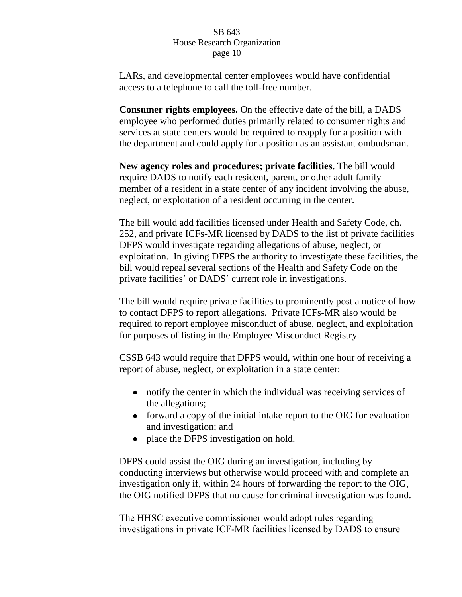LARs, and developmental center employees would have confidential access to a telephone to call the toll-free number.

**Consumer rights employees.** On the effective date of the bill, a DADS employee who performed duties primarily related to consumer rights and services at state centers would be required to reapply for a position with the department and could apply for a position as an assistant ombudsman.

**New agency roles and procedures; private facilities.** The bill would require DADS to notify each resident, parent, or other adult family member of a resident in a state center of any incident involving the abuse, neglect, or exploitation of a resident occurring in the center.

The bill would add facilities licensed under Health and Safety Code, ch. 252, and private ICFs-MR licensed by DADS to the list of private facilities DFPS would investigate regarding allegations of abuse, neglect, or exploitation. In giving DFPS the authority to investigate these facilities, the bill would repeal several sections of the Health and Safety Code on the private facilities' or DADS' current role in investigations.

The bill would require private facilities to prominently post a notice of how to contact DFPS to report allegations. Private ICFs-MR also would be required to report employee misconduct of abuse, neglect, and exploitation for purposes of listing in the Employee Misconduct Registry.

CSSB 643 would require that DFPS would, within one hour of receiving a report of abuse, neglect, or exploitation in a state center:

- notify the center in which the individual was receiving services of the allegations;
- forward a copy of the initial intake report to the OIG for evaluation and investigation; and
- place the DFPS investigation on hold.

DFPS could assist the OIG during an investigation, including by conducting interviews but otherwise would proceed with and complete an investigation only if, within 24 hours of forwarding the report to the OIG, the OIG notified DFPS that no cause for criminal investigation was found.

The HHSC executive commissioner would adopt rules regarding investigations in private ICF-MR facilities licensed by DADS to ensure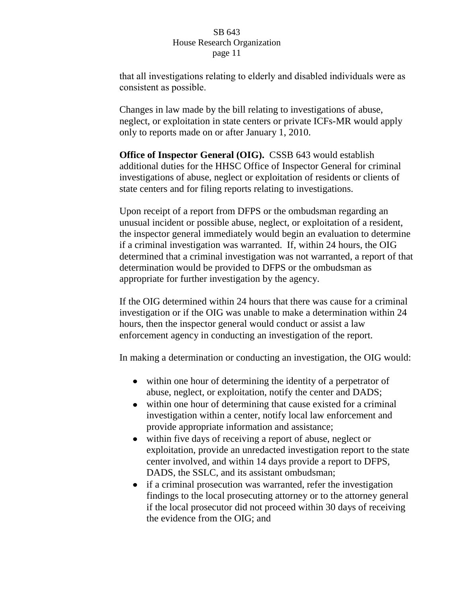that all investigations relating to elderly and disabled individuals were as consistent as possible.

Changes in law made by the bill relating to investigations of abuse, neglect, or exploitation in state centers or private ICFs-MR would apply only to reports made on or after January 1, 2010.

**Office of Inspector General (OIG).** CSSB 643 would establish additional duties for the HHSC Office of Inspector General for criminal investigations of abuse, neglect or exploitation of residents or clients of state centers and for filing reports relating to investigations.

Upon receipt of a report from DFPS or the ombudsman regarding an unusual incident or possible abuse, neglect, or exploitation of a resident, the inspector general immediately would begin an evaluation to determine if a criminal investigation was warranted. If, within 24 hours, the OIG determined that a criminal investigation was not warranted, a report of that determination would be provided to DFPS or the ombudsman as appropriate for further investigation by the agency.

If the OIG determined within 24 hours that there was cause for a criminal investigation or if the OIG was unable to make a determination within 24 hours, then the inspector general would conduct or assist a law enforcement agency in conducting an investigation of the report.

In making a determination or conducting an investigation, the OIG would:

- within one hour of determining the identity of a perpetrator of abuse, neglect, or exploitation, notify the center and DADS;
- within one hour of determining that cause existed for a criminal investigation within a center, notify local law enforcement and provide appropriate information and assistance;
- $\bullet$ within five days of receiving a report of abuse, neglect or exploitation, provide an unredacted investigation report to the state center involved, and within 14 days provide a report to DFPS, DADS, the SSLC, and its assistant ombudsman;
- if a criminal prosecution was warranted, refer the investigation findings to the local prosecuting attorney or to the attorney general if the local prosecutor did not proceed within 30 days of receiving the evidence from the OIG; and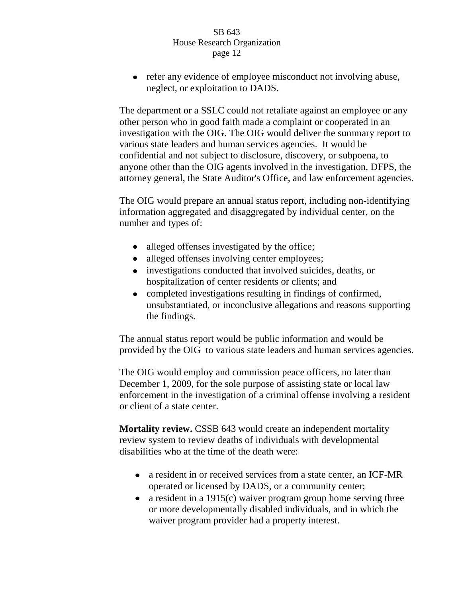• refer any evidence of employee misconduct not involving abuse, neglect, or exploitation to DADS.

The department or a SSLC could not retaliate against an employee or any other person who in good faith made a complaint or cooperated in an investigation with the OIG. The OIG would deliver the summary report to various state leaders and human services agencies. It would be confidential and not subject to disclosure, discovery, or subpoena, to anyone other than the OIG agents involved in the investigation, DFPS, the attorney general, the State Auditor's Office, and law enforcement agencies.

The OIG would prepare an annual status report, including non-identifying information aggregated and disaggregated by individual center, on the number and types of:

- alleged offenses investigated by the office;
- alleged offenses involving center employees;  $\bullet$
- investigations conducted that involved suicides, deaths, or hospitalization of center residents or clients; and
- completed investigations resulting in findings of confirmed, unsubstantiated, or inconclusive allegations and reasons supporting the findings.

The annual status report would be public information and would be provided by the OIG to various state leaders and human services agencies.

The OIG would employ and commission peace officers, no later than December 1, 2009, for the sole purpose of assisting state or local law enforcement in the investigation of a criminal offense involving a resident or client of a state center.

**Mortality review.** CSSB 643 would create an independent mortality review system to review deaths of individuals with developmental disabilities who at the time of the death were:

- a resident in or received services from a state center, an ICF-MR operated or licensed by DADS, or a community center;
- a resident in a 1915 $(c)$  waiver program group home serving three or more developmentally disabled individuals, and in which the waiver program provider had a property interest.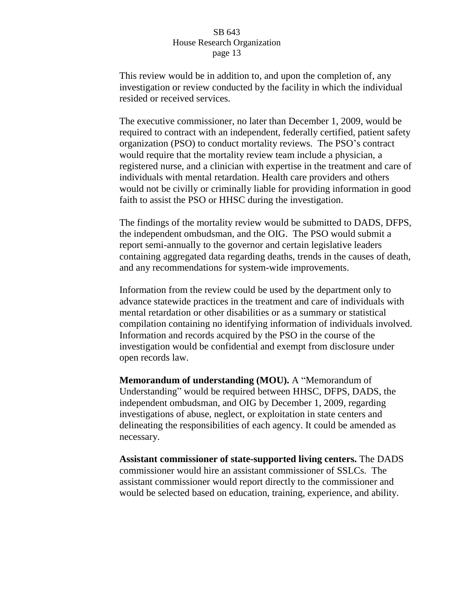This review would be in addition to, and upon the completion of, any investigation or review conducted by the facility in which the individual resided or received services.

The executive commissioner, no later than December 1, 2009, would be required to contract with an independent, federally certified, patient safety organization (PSO) to conduct mortality reviews. The PSO"s contract would require that the mortality review team include a physician, a registered nurse, and a clinician with expertise in the treatment and care of individuals with mental retardation. Health care providers and others would not be civilly or criminally liable for providing information in good faith to assist the PSO or HHSC during the investigation.

The findings of the mortality review would be submitted to DADS, DFPS, the independent ombudsman, and the OIG. The PSO would submit a report semi-annually to the governor and certain legislative leaders containing aggregated data regarding deaths, trends in the causes of death, and any recommendations for system-wide improvements.

Information from the review could be used by the department only to advance statewide practices in the treatment and care of individuals with mental retardation or other disabilities or as a summary or statistical compilation containing no identifying information of individuals involved. Information and records acquired by the PSO in the course of the investigation would be confidential and exempt from disclosure under open records law.

**Memorandum of understanding (MOU).** A "Memorandum of Understanding" would be required between HHSC, DFPS, DADS, the independent ombudsman, and OIG by December 1, 2009, regarding investigations of abuse, neglect, or exploitation in state centers and delineating the responsibilities of each agency. It could be amended as necessary.

**Assistant commissioner of state-supported living centers.** The DADS commissioner would hire an assistant commissioner of SSLCs. The assistant commissioner would report directly to the commissioner and would be selected based on education, training, experience, and ability.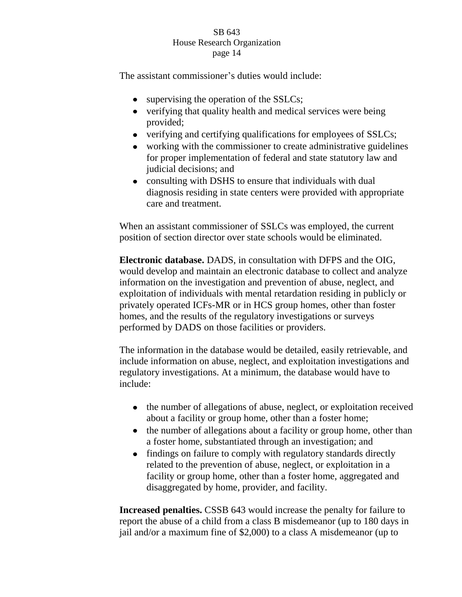The assistant commissioner's duties would include:

- supervising the operation of the SSLCs;
- verifying that quality health and medical services were being provided;
- verifying and certifying qualifications for employees of SSLCs;
- working with the commissioner to create administrative guidelines for proper implementation of federal and state statutory law and judicial decisions; and
- consulting with DSHS to ensure that individuals with dual diagnosis residing in state centers were provided with appropriate care and treatment.

When an assistant commissioner of SSLCs was employed, the current position of section director over state schools would be eliminated.

**Electronic database.** DADS, in consultation with DFPS and the OIG, would develop and maintain an electronic database to collect and analyze information on the investigation and prevention of abuse, neglect, and exploitation of individuals with mental retardation residing in publicly or privately operated ICFs-MR or in HCS group homes, other than foster homes, and the results of the regulatory investigations or surveys performed by DADS on those facilities or providers.

The information in the database would be detailed, easily retrievable, and include information on abuse, neglect, and exploitation investigations and regulatory investigations. At a minimum, the database would have to include:

- the number of allegations of abuse, neglect, or exploitation received about a facility or group home, other than a foster home;
- $\bullet$ the number of allegations about a facility or group home, other than a foster home, substantiated through an investigation; and
- findings on failure to comply with regulatory standards directly  $\bullet$ related to the prevention of abuse, neglect, or exploitation in a facility or group home, other than a foster home, aggregated and disaggregated by home, provider, and facility.

**Increased penalties.** CSSB 643 would increase the penalty for failure to report the abuse of a child from a class B misdemeanor (up to 180 days in jail and/or a maximum fine of \$2,000) to a class A misdemeanor (up to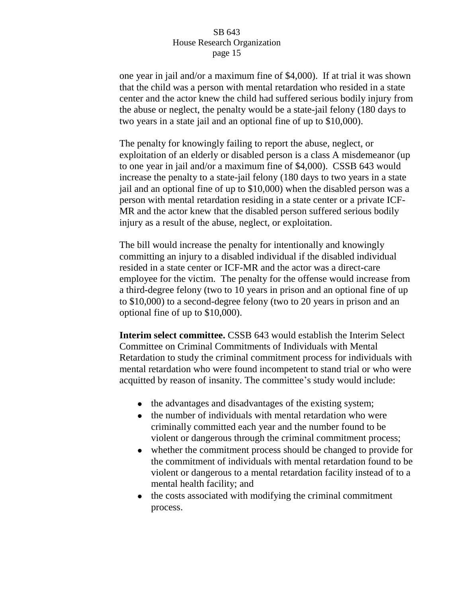one year in jail and/or a maximum fine of \$4,000). If at trial it was shown that the child was a person with mental retardation who resided in a state center and the actor knew the child had suffered serious bodily injury from the abuse or neglect, the penalty would be a state-jail felony (180 days to two years in a state jail and an optional fine of up to \$10,000).

The penalty for knowingly failing to report the abuse, neglect, or exploitation of an elderly or disabled person is a class A misdemeanor (up to one year in jail and/or a maximum fine of \$4,000). CSSB 643 would increase the penalty to a state-jail felony (180 days to two years in a state jail and an optional fine of up to \$10,000) when the disabled person was a person with mental retardation residing in a state center or a private ICF-MR and the actor knew that the disabled person suffered serious bodily injury as a result of the abuse, neglect, or exploitation.

The bill would increase the penalty for intentionally and knowingly committing an injury to a disabled individual if the disabled individual resided in a state center or ICF-MR and the actor was a direct-care employee for the victim. The penalty for the offense would increase from a third-degree felony (two to 10 years in prison and an optional fine of up to \$10,000) to a second-degree felony (two to 20 years in prison and an optional fine of up to \$10,000).

**Interim select committee.** CSSB 643 would establish the Interim Select Committee on Criminal Commitments of Individuals with Mental Retardation to study the criminal commitment process for individuals with mental retardation who were found incompetent to stand trial or who were acquitted by reason of insanity. The committee's study would include:

- the advantages and disadvantages of the existing system;
- the number of individuals with mental retardation who were criminally committed each year and the number found to be violent or dangerous through the criminal commitment process;
- whether the commitment process should be changed to provide for the commitment of individuals with mental retardation found to be violent or dangerous to a mental retardation facility instead of to a mental health facility; and
- the costs associated with modifying the criminal commitment  $\bullet$ process.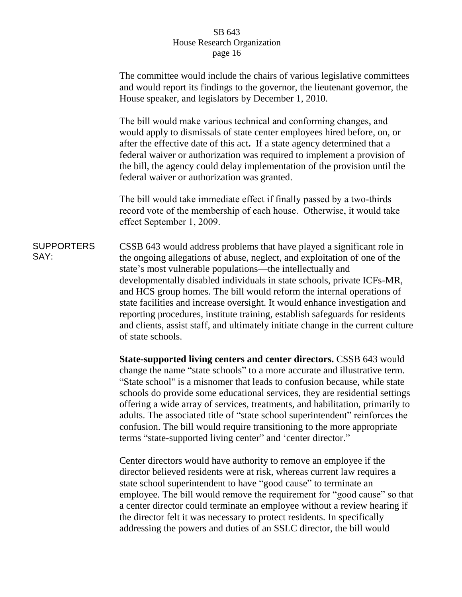|                           | The committee would include the chairs of various legislative committees<br>and would report its findings to the governor, the lieutenant governor, the<br>House speaker, and legislators by December 1, 2010.                                                                                                                                                                                                                                                                                                                                                                                                                                |
|---------------------------|-----------------------------------------------------------------------------------------------------------------------------------------------------------------------------------------------------------------------------------------------------------------------------------------------------------------------------------------------------------------------------------------------------------------------------------------------------------------------------------------------------------------------------------------------------------------------------------------------------------------------------------------------|
|                           | The bill would make various technical and conforming changes, and<br>would apply to dismissals of state center employees hired before, on, or<br>after the effective date of this act. If a state agency determined that a<br>federal waiver or authorization was required to implement a provision of<br>the bill, the agency could delay implementation of the provision until the<br>federal waiver or authorization was granted.                                                                                                                                                                                                          |
|                           | The bill would take immediate effect if finally passed by a two-thirds<br>record vote of the membership of each house. Otherwise, it would take<br>effect September 1, 2009.                                                                                                                                                                                                                                                                                                                                                                                                                                                                  |
| <b>SUPPORTERS</b><br>SAY: | CSSB 643 would address problems that have played a significant role in<br>the ongoing allegations of abuse, neglect, and exploitation of one of the<br>state's most vulnerable populations—the intellectually and<br>developmentally disabled individuals in state schools, private ICFs-MR,<br>and HCS group homes. The bill would reform the internal operations of<br>state facilities and increase oversight. It would enhance investigation and<br>reporting procedures, institute training, establish safeguards for residents<br>and clients, assist staff, and ultimately initiate change in the current culture<br>of state schools. |
|                           | State-supported living centers and center directors. CSSB 643 would<br>change the name "state schools" to a more accurate and illustrative term.<br>"State school" is a misnomer that leads to confusion because, while state<br>schools do provide some educational services they are residential settings                                                                                                                                                                                                                                                                                                                                   |

schools do provide some educational services, they are residential settings offering a wide array of services, treatments, and habilitation, primarily to adults. The associated title of "state school superintendent" reinforces the confusion. The bill would require transitioning to the more appropriate terms "state-supported living center" and 'center director."

Center directors would have authority to remove an employee if the director believed residents were at risk, whereas current law requires a state school superintendent to have "good cause" to terminate an employee. The bill would remove the requirement for "good cause" so that a center director could terminate an employee without a review hearing if the director felt it was necessary to protect residents. In specifically addressing the powers and duties of an SSLC director, the bill would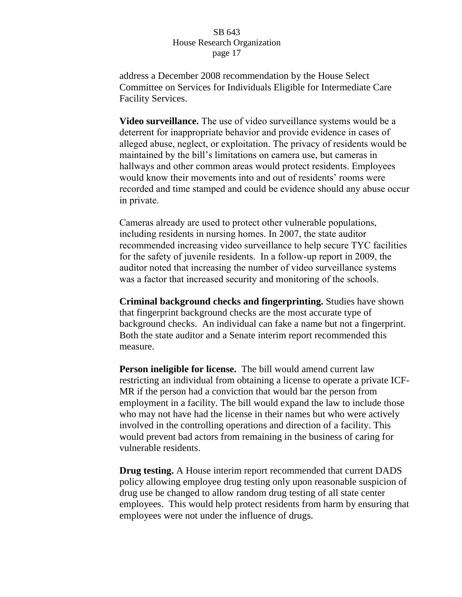address a December 2008 recommendation by the House Select Committee on Services for Individuals Eligible for Intermediate Care Facility Services.

**Video surveillance.** The use of video surveillance systems would be a deterrent for inappropriate behavior and provide evidence in cases of alleged abuse, neglect, or exploitation. The privacy of residents would be maintained by the bill's limitations on camera use, but cameras in hallways and other common areas would protect residents. Employees would know their movements into and out of residents' rooms were recorded and time stamped and could be evidence should any abuse occur in private.

Cameras already are used to protect other vulnerable populations, including residents in nursing homes. In 2007, the state auditor recommended increasing video surveillance to help secure TYC facilities for the safety of juvenile residents. In a follow-up report in 2009, the auditor noted that increasing the number of video surveillance systems was a factor that increased security and monitoring of the schools.

**Criminal background checks and fingerprinting.** Studies have shown that fingerprint background checks are the most accurate type of background checks. An individual can fake a name but not a fingerprint. Both the state auditor and a Senate interim report recommended this measure.

**Person ineligible for license.** The bill would amend current law restricting an individual from obtaining a license to operate a private ICF-MR if the person had a conviction that would bar the person from employment in a facility. The bill would expand the law to include those who may not have had the license in their names but who were actively involved in the controlling operations and direction of a facility. This would prevent bad actors from remaining in the business of caring for vulnerable residents.

**Drug testing.** A House interim report recommended that current DADS policy allowing employee drug testing only upon reasonable suspicion of drug use be changed to allow random drug testing of all state center employees. This would help protect residents from harm by ensuring that employees were not under the influence of drugs.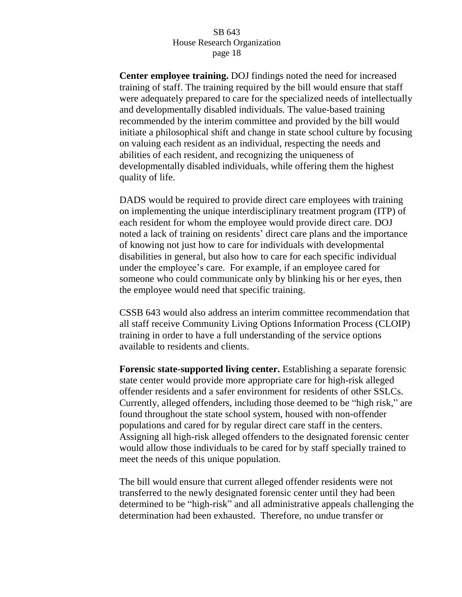**Center employee training.** DOJ findings noted the need for increased training of staff. The training required by the bill would ensure that staff were adequately prepared to care for the specialized needs of intellectually and developmentally disabled individuals. The value-based training recommended by the interim committee and provided by the bill would initiate a philosophical shift and change in state school culture by focusing on valuing each resident as an individual, respecting the needs and abilities of each resident, and recognizing the uniqueness of developmentally disabled individuals, while offering them the highest quality of life.

DADS would be required to provide direct care employees with training on implementing the unique interdisciplinary treatment program (ITP) of each resident for whom the employee would provide direct care. DOJ noted a lack of training on residents' direct care plans and the importance of knowing not just how to care for individuals with developmental disabilities in general, but also how to care for each specific individual under the employee"s care. For example, if an employee cared for someone who could communicate only by blinking his or her eyes, then the employee would need that specific training.

CSSB 643 would also address an interim committee recommendation that all staff receive Community Living Options Information Process (CLOIP) training in order to have a full understanding of the service options available to residents and clients.

**Forensic state-supported living center.** Establishing a separate forensic state center would provide more appropriate care for high-risk alleged offender residents and a safer environment for residents of other SSLCs. Currently, alleged offenders, including those deemed to be "high risk," are found throughout the state school system, housed with non-offender populations and cared for by regular direct care staff in the centers. Assigning all high-risk alleged offenders to the designated forensic center would allow those individuals to be cared for by staff specially trained to meet the needs of this unique population.

The bill would ensure that current alleged offender residents were not transferred to the newly designated forensic center until they had been determined to be "high-risk" and all administrative appeals challenging the determination had been exhausted. Therefore, no undue transfer or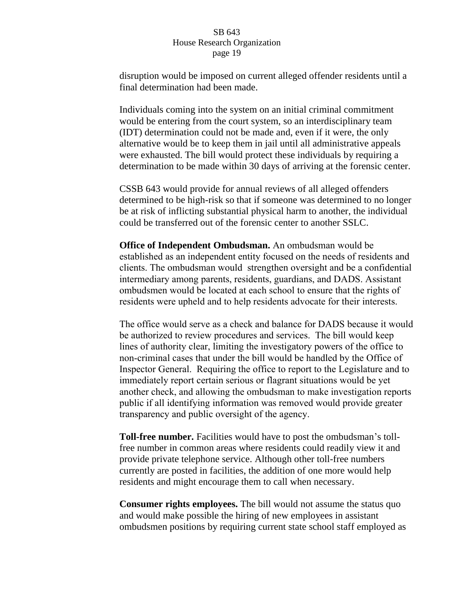disruption would be imposed on current alleged offender residents until a final determination had been made.

Individuals coming into the system on an initial criminal commitment would be entering from the court system, so an interdisciplinary team (IDT) determination could not be made and, even if it were, the only alternative would be to keep them in jail until all administrative appeals were exhausted. The bill would protect these individuals by requiring a determination to be made within 30 days of arriving at the forensic center.

CSSB 643 would provide for annual reviews of all alleged offenders determined to be high-risk so that if someone was determined to no longer be at risk of inflicting substantial physical harm to another, the individual could be transferred out of the forensic center to another SSLC.

**Office of Independent Ombudsman.** An ombudsman would be established as an independent entity focused on the needs of residents and clients. The ombudsman would strengthen oversight and be a confidential intermediary among parents, residents, guardians, and DADS. Assistant ombudsmen would be located at each school to ensure that the rights of residents were upheld and to help residents advocate for their interests.

The office would serve as a check and balance for DADS because it would be authorized to review procedures and services. The bill would keep lines of authority clear, limiting the investigatory powers of the office to non-criminal cases that under the bill would be handled by the Office of Inspector General. Requiring the office to report to the Legislature and to immediately report certain serious or flagrant situations would be yet another check, and allowing the ombudsman to make investigation reports public if all identifying information was removed would provide greater transparency and public oversight of the agency.

**Toll-free number.** Facilities would have to post the ombudsman"s tollfree number in common areas where residents could readily view it and provide private telephone service. Although other toll-free numbers currently are posted in facilities, the addition of one more would help residents and might encourage them to call when necessary.

**Consumer rights employees.** The bill would not assume the status quo and would make possible the hiring of new employees in assistant ombudsmen positions by requiring current state school staff employed as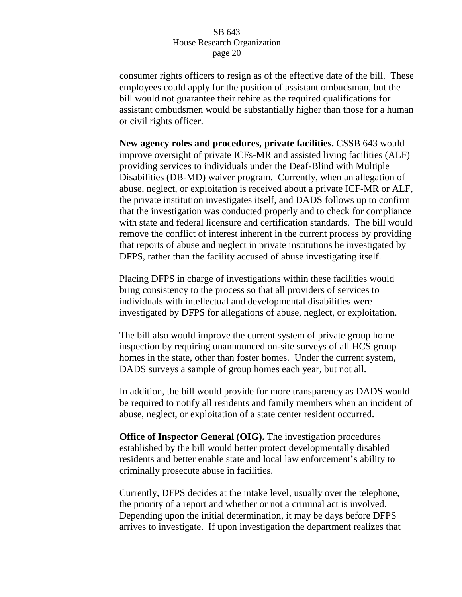consumer rights officers to resign as of the effective date of the bill. These employees could apply for the position of assistant ombudsman, but the bill would not guarantee their rehire as the required qualifications for assistant ombudsmen would be substantially higher than those for a human or civil rights officer.

**New agency roles and procedures, private facilities.** CSSB 643 would improve oversight of private ICFs-MR and assisted living facilities (ALF) providing services to individuals under the Deaf-Blind with Multiple Disabilities (DB-MD) waiver program. Currently, when an allegation of abuse, neglect, or exploitation is received about a private ICF-MR or ALF, the private institution investigates itself, and DADS follows up to confirm that the investigation was conducted properly and to check for compliance with state and federal licensure and certification standards. The bill would remove the conflict of interest inherent in the current process by providing that reports of abuse and neglect in private institutions be investigated by DFPS, rather than the facility accused of abuse investigating itself.

Placing DFPS in charge of investigations within these facilities would bring consistency to the process so that all providers of services to individuals with intellectual and developmental disabilities were investigated by DFPS for allegations of abuse, neglect, or exploitation.

The bill also would improve the current system of private group home inspection by requiring unannounced on-site surveys of all HCS group homes in the state, other than foster homes. Under the current system, DADS surveys a sample of group homes each year, but not all.

In addition, the bill would provide for more transparency as DADS would be required to notify all residents and family members when an incident of abuse, neglect, or exploitation of a state center resident occurred.

**Office of Inspector General (OIG).** The investigation procedures established by the bill would better protect developmentally disabled residents and better enable state and local law enforcement's ability to criminally prosecute abuse in facilities.

Currently, DFPS decides at the intake level, usually over the telephone, the priority of a report and whether or not a criminal act is involved. Depending upon the initial determination, it may be days before DFPS arrives to investigate. If upon investigation the department realizes that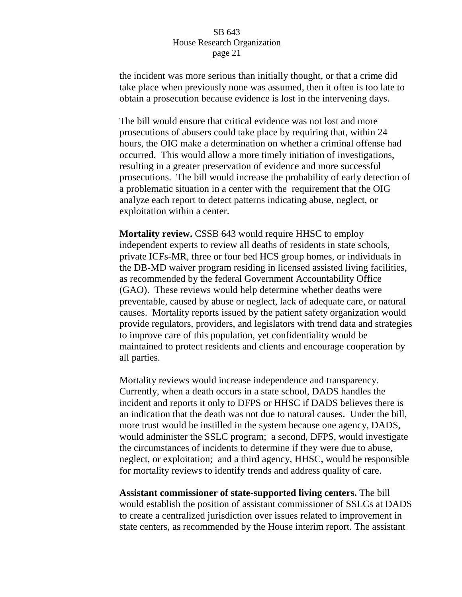the incident was more serious than initially thought, or that a crime did take place when previously none was assumed, then it often is too late to obtain a prosecution because evidence is lost in the intervening days.

The bill would ensure that critical evidence was not lost and more prosecutions of abusers could take place by requiring that, within 24 hours, the OIG make a determination on whether a criminal offense had occurred. This would allow a more timely initiation of investigations, resulting in a greater preservation of evidence and more successful prosecutions. The bill would increase the probability of early detection of a problematic situation in a center with the requirement that the OIG analyze each report to detect patterns indicating abuse, neglect, or exploitation within a center.

**Mortality review.** CSSB 643 would require HHSC to employ independent experts to review all deaths of residents in state schools, private ICFs-MR, three or four bed HCS group homes, or individuals in the DB-MD waiver program residing in licensed assisted living facilities, as recommended by the federal Government Accountability Office (GAO). These reviews would help determine whether deaths were preventable, caused by abuse or neglect, lack of adequate care, or natural causes. Mortality reports issued by the patient safety organization would provide regulators, providers, and legislators with trend data and strategies to improve care of this population, yet confidentiality would be maintained to protect residents and clients and encourage cooperation by all parties.

Mortality reviews would increase independence and transparency. Currently, when a death occurs in a state school, DADS handles the incident and reports it only to DFPS or HHSC if DADS believes there is an indication that the death was not due to natural causes. Under the bill, more trust would be instilled in the system because one agency, DADS, would administer the SSLC program; a second, DFPS, would investigate the circumstances of incidents to determine if they were due to abuse, neglect, or exploitation; and a third agency, HHSC, would be responsible for mortality reviews to identify trends and address quality of care.

**Assistant commissioner of state-supported living centers.** The bill would establish the position of assistant commissioner of SSLCs at DADS to create a centralized jurisdiction over issues related to improvement in state centers, as recommended by the House interim report. The assistant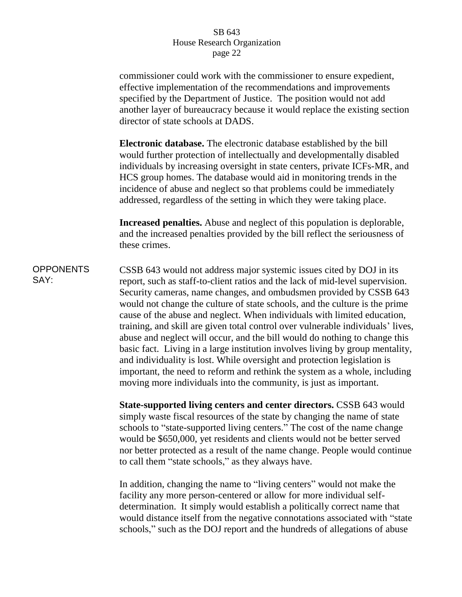commissioner could work with the commissioner to ensure expedient, effective implementation of the recommendations and improvements specified by the Department of Justice. The position would not add another layer of bureaucracy because it would replace the existing section director of state schools at DADS.

**Electronic database.** The electronic database established by the bill would further protection of intellectually and developmentally disabled individuals by increasing oversight in state centers, private ICFs-MR, and HCS group homes. The database would aid in monitoring trends in the incidence of abuse and neglect so that problems could be immediately addressed, regardless of the setting in which they were taking place.

**Increased penalties.** Abuse and neglect of this population is deplorable, and the increased penalties provided by the bill reflect the seriousness of these crimes.

**OPPONENTS** SAY: CSSB 643 would not address major systemic issues cited by DOJ in its report, such as staff-to-client ratios and the lack of mid-level supervision. Security cameras, name changes, and ombudsmen provided by CSSB 643 would not change the culture of state schools, and the culture is the prime cause of the abuse and neglect. When individuals with limited education, training, and skill are given total control over vulnerable individuals" lives, abuse and neglect will occur, and the bill would do nothing to change this basic fact. Living in a large institution involves living by group mentality, and individuality is lost. While oversight and protection legislation is important, the need to reform and rethink the system as a whole, including moving more individuals into the community, is just as important.

> **State-supported living centers and center directors.** CSSB 643 would simply waste fiscal resources of the state by changing the name of state schools to "state-supported living centers." The cost of the name change would be \$650,000, yet residents and clients would not be better served nor better protected as a result of the name change. People would continue to call them "state schools," as they always have.

> In addition, changing the name to "living centers" would not make the facility any more person-centered or allow for more individual selfdetermination. It simply would establish a politically correct name that would distance itself from the negative connotations associated with "state schools," such as the DOJ report and the hundreds of allegations of abuse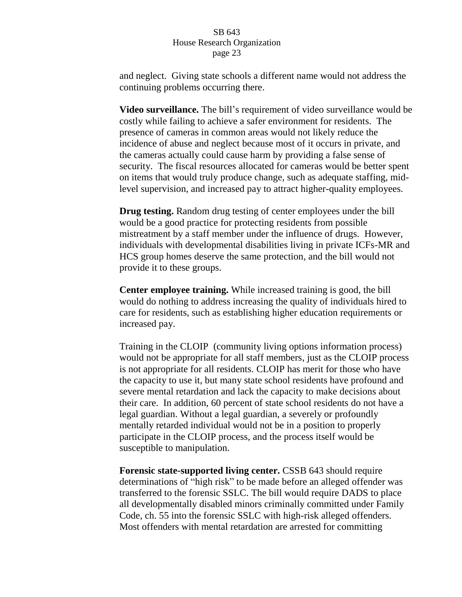and neglect. Giving state schools a different name would not address the continuing problems occurring there.

**Video surveillance.** The bill"s requirement of video surveillance would be costly while failing to achieve a safer environment for residents. The presence of cameras in common areas would not likely reduce the incidence of abuse and neglect because most of it occurs in private, and the cameras actually could cause harm by providing a false sense of security. The fiscal resources allocated for cameras would be better spent on items that would truly produce change, such as adequate staffing, midlevel supervision, and increased pay to attract higher-quality employees.

**Drug testing.** Random drug testing of center employees under the bill would be a good practice for protecting residents from possible mistreatment by a staff member under the influence of drugs. However, individuals with developmental disabilities living in private ICFs-MR and HCS group homes deserve the same protection, and the bill would not provide it to these groups.

**Center employee training.** While increased training is good, the bill would do nothing to address increasing the quality of individuals hired to care for residents, such as establishing higher education requirements or increased pay.

Training in the CLOIP (community living options information process) would not be appropriate for all staff members, just as the CLOIP process is not appropriate for all residents. CLOIP has merit for those who have the capacity to use it, but many state school residents have profound and severe mental retardation and lack the capacity to make decisions about their care. In addition, 60 percent of state school residents do not have a legal guardian. Without a legal guardian, a severely or profoundly mentally retarded individual would not be in a position to properly participate in the CLOIP process, and the process itself would be susceptible to manipulation.

**Forensic state-supported living center.** CSSB 643 should require determinations of "high risk" to be made before an alleged offender was transferred to the forensic SSLC. The bill would require DADS to place all developmentally disabled minors criminally committed under Family Code, ch. 55 into the forensic SSLC with high-risk alleged offenders. Most offenders with mental retardation are arrested for committing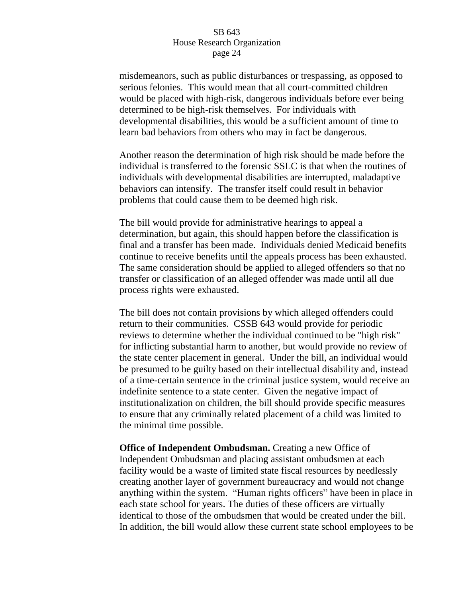misdemeanors, such as public disturbances or trespassing, as opposed to serious felonies. This would mean that all court-committed children would be placed with high-risk, dangerous individuals before ever being determined to be high-risk themselves. For individuals with developmental disabilities, this would be a sufficient amount of time to learn bad behaviors from others who may in fact be dangerous.

Another reason the determination of high risk should be made before the individual is transferred to the forensic SSLC is that when the routines of individuals with developmental disabilities are interrupted, maladaptive behaviors can intensify. The transfer itself could result in behavior problems that could cause them to be deemed high risk.

The bill would provide for administrative hearings to appeal a determination, but again, this should happen before the classification is final and a transfer has been made. Individuals denied Medicaid benefits continue to receive benefits until the appeals process has been exhausted. The same consideration should be applied to alleged offenders so that no transfer or classification of an alleged offender was made until all due process rights were exhausted.

The bill does not contain provisions by which alleged offenders could return to their communities. CSSB 643 would provide for periodic reviews to determine whether the individual continued to be "high risk" for inflicting substantial harm to another, but would provide no review of the state center placement in general. Under the bill, an individual would be presumed to be guilty based on their intellectual disability and, instead of a time-certain sentence in the criminal justice system, would receive an indefinite sentence to a state center. Given the negative impact of institutionalization on children, the bill should provide specific measures to ensure that any criminally related placement of a child was limited to the minimal time possible.

**Office of Independent Ombudsman.** Creating a new Office of Independent Ombudsman and placing assistant ombudsmen at each facility would be a waste of limited state fiscal resources by needlessly creating another layer of government bureaucracy and would not change anything within the system. "Human rights officers" have been in place in each state school for years. The duties of these officers are virtually identical to those of the ombudsmen that would be created under the bill. In addition, the bill would allow these current state school employees to be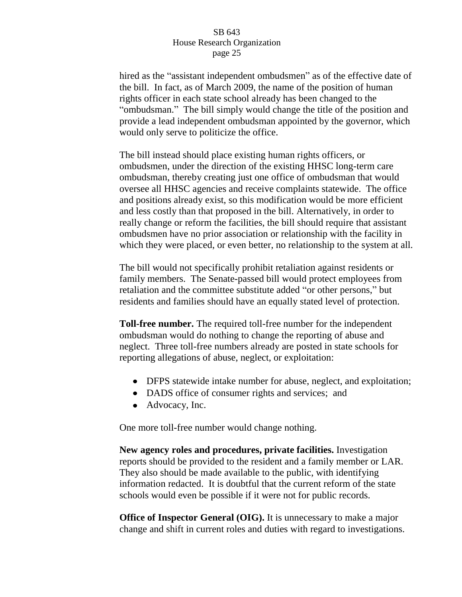hired as the "assistant independent ombudsmen" as of the effective date of the bill. In fact, as of March 2009, the name of the position of human rights officer in each state school already has been changed to the "ombudsman." The bill simply would change the title of the position and provide a lead independent ombudsman appointed by the governor, which would only serve to politicize the office.

The bill instead should place existing human rights officers, or ombudsmen, under the direction of the existing HHSC long-term care ombudsman, thereby creating just one office of ombudsman that would oversee all HHSC agencies and receive complaints statewide. The office and positions already exist, so this modification would be more efficient and less costly than that proposed in the bill. Alternatively, in order to really change or reform the facilities, the bill should require that assistant ombudsmen have no prior association or relationship with the facility in which they were placed, or even better, no relationship to the system at all.

The bill would not specifically prohibit retaliation against residents or family members. The Senate-passed bill would protect employees from retaliation and the committee substitute added "or other persons," but residents and families should have an equally stated level of protection.

**Toll-free number.** The required toll-free number for the independent ombudsman would do nothing to change the reporting of abuse and neglect. Three toll-free numbers already are posted in state schools for reporting allegations of abuse, neglect, or exploitation:

- DFPS statewide intake number for abuse, neglect, and exploitation;
- DADS office of consumer rights and services; and
- Advocacy, Inc.

One more toll-free number would change nothing.

**New agency roles and procedures, private facilities.** Investigation reports should be provided to the resident and a family member or LAR. They also should be made available to the public, with identifying information redacted. It is doubtful that the current reform of the state schools would even be possible if it were not for public records.

**Office of Inspector General (OIG).** It is unnecessary to make a major change and shift in current roles and duties with regard to investigations.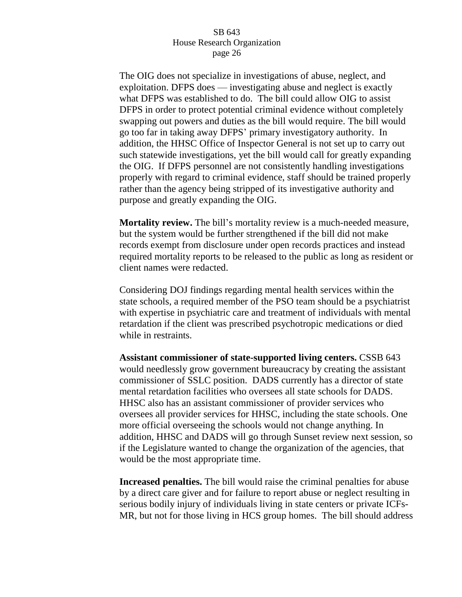The OIG does not specialize in investigations of abuse, neglect, and exploitation. DFPS does — investigating abuse and neglect is exactly what DFPS was established to do. The bill could allow OIG to assist DFPS in order to protect potential criminal evidence without completely swapping out powers and duties as the bill would require. The bill would go too far in taking away DFPS" primary investigatory authority. In addition, the HHSC Office of Inspector General is not set up to carry out such statewide investigations, yet the bill would call for greatly expanding the OIG. If DFPS personnel are not consistently handling investigations properly with regard to criminal evidence, staff should be trained properly rather than the agency being stripped of its investigative authority and purpose and greatly expanding the OIG.

**Mortality review.** The bill"s mortality review is a much-needed measure, but the system would be further strengthened if the bill did not make records exempt from disclosure under open records practices and instead required mortality reports to be released to the public as long as resident or client names were redacted.

Considering DOJ findings regarding mental health services within the state schools, a required member of the PSO team should be a psychiatrist with expertise in psychiatric care and treatment of individuals with mental retardation if the client was prescribed psychotropic medications or died while in restraints.

**Assistant commissioner of state-supported living centers.** CSSB 643 would needlessly grow government bureaucracy by creating the assistant commissioner of SSLC position. DADS currently has a director of state mental retardation facilities who oversees all state schools for DADS. HHSC also has an assistant commissioner of provider services who oversees all provider services for HHSC, including the state schools. One more official overseeing the schools would not change anything. In addition, HHSC and DADS will go through Sunset review next session, so if the Legislature wanted to change the organization of the agencies, that would be the most appropriate time.

**Increased penalties.** The bill would raise the criminal penalties for abuse by a direct care giver and for failure to report abuse or neglect resulting in serious bodily injury of individuals living in state centers or private ICFs-MR, but not for those living in HCS group homes. The bill should address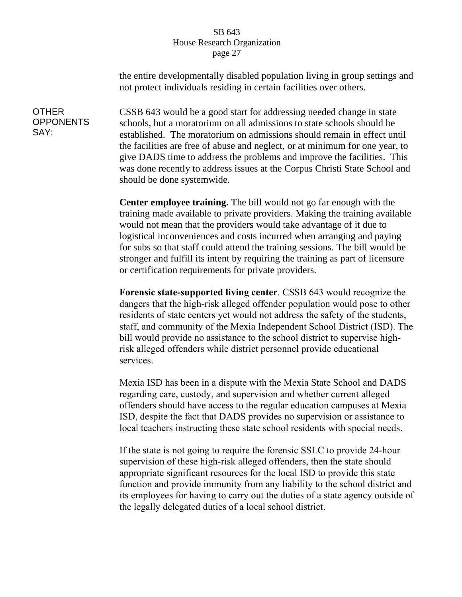the entire developmentally disabled population living in group settings and not protect individuals residing in certain facilities over others.

CSSB 643 would be a good start for addressing needed change in state schools, but a moratorium on all admissions to state schools should be established. The moratorium on admissions should remain in effect until the facilities are free of abuse and neglect, or at minimum for one year, to give DADS time to address the problems and improve the facilities. This was done recently to address issues at the Corpus Christi State School and should be done systemwide.

**Center employee training.** The bill would not go far enough with the training made available to private providers. Making the training available would not mean that the providers would take advantage of it due to logistical inconveniences and costs incurred when arranging and paying for subs so that staff could attend the training sessions. The bill would be stronger and fulfill its intent by requiring the training as part of licensure or certification requirements for private providers.

**Forensic state-supported living center**. CSSB 643 would recognize the dangers that the high-risk alleged offender population would pose to other residents of state centers yet would not address the safety of the students, staff, and community of the Mexia Independent School District (ISD). The bill would provide no assistance to the school district to supervise highrisk alleged offenders while district personnel provide educational services.

Mexia ISD has been in a dispute with the Mexia State School and DADS regarding care, custody, and supervision and whether current alleged offenders should have access to the regular education campuses at Mexia ISD, despite the fact that DADS provides no supervision or assistance to local teachers instructing these state school residents with special needs.

If the state is not going to require the forensic SSLC to provide 24-hour supervision of these high-risk alleged offenders, then the state should appropriate significant resources for the local ISD to provide this state function and provide immunity from any liability to the school district and its employees for having to carry out the duties of a state agency outside of the legally delegated duties of a local school district.

# **OTHER OPPONENTS** SAY: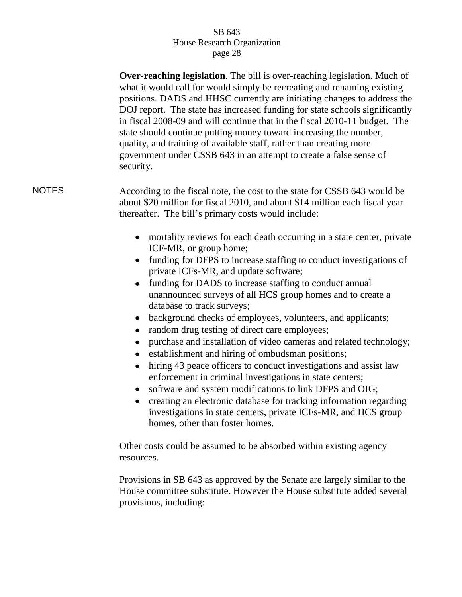**Over-reaching legislation**. The bill is over-reaching legislation. Much of what it would call for would simply be recreating and renaming existing positions. DADS and HHSC currently are initiating changes to address the DOJ report. The state has increased funding for state schools significantly in fiscal 2008-09 and will continue that in the fiscal 2010-11 budget. The state should continue putting money toward increasing the number, quality, and training of available staff, rather than creating more government under CSSB 643 in an attempt to create a false sense of security.

NOTES: According to the fiscal note, the cost to the state for CSSB 643 would be about \$20 million for fiscal 2010, and about \$14 million each fiscal year thereafter. The bill"s primary costs would include:

- mortality reviews for each death occurring in a state center, private ICF-MR, or group home;
- funding for DFPS to increase staffing to conduct investigations of private ICFs-MR, and update software;
- funding for DADS to increase staffing to conduct annual unannounced surveys of all HCS group homes and to create a database to track surveys;
- background checks of employees, volunteers, and applicants;
- random drug testing of direct care employees;
- purchase and installation of video cameras and related technology;
- establishment and hiring of ombudsman positions;
- hiring 43 peace officers to conduct investigations and assist law enforcement in criminal investigations in state centers;
- software and system modifications to link DFPS and OIG;
- creating an electronic database for tracking information regarding investigations in state centers, private ICFs-MR, and HCS group homes, other than foster homes.

Other costs could be assumed to be absorbed within existing agency resources.

Provisions in SB 643 as approved by the Senate are largely similar to the House committee substitute. However the House substitute added several provisions, including: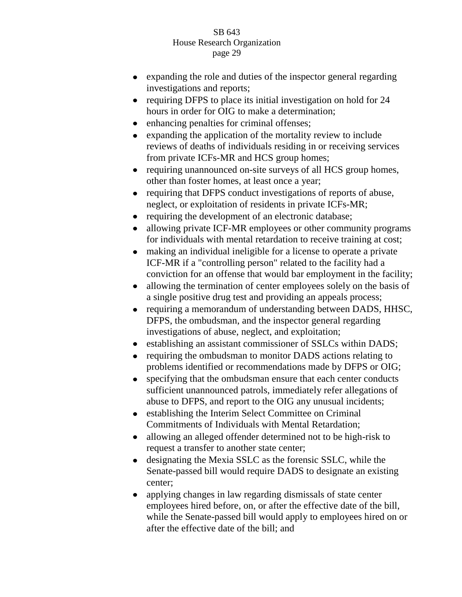- expanding the role and duties of the inspector general regarding investigations and reports;
- requiring DFPS to place its initial investigation on hold for 24 hours in order for OIG to make a determination;
- enhancing penalties for criminal offenses;  $\bullet$
- expanding the application of the mortality review to include  $\bullet$ reviews of deaths of individuals residing in or receiving services from private ICFs-MR and HCS group homes;
- requiring unannounced on-site surveys of all HCS group homes, other than foster homes, at least once a year;
- requiring that DFPS conduct investigations of reports of abuse,  $\bullet$ neglect, or exploitation of residents in private ICFs-MR;
- requiring the development of an electronic database;  $\bullet$
- allowing private ICF-MR employees or other community programs  $\bullet$ for individuals with mental retardation to receive training at cost;
- making an individual ineligible for a license to operate a private  $\bullet$ ICF-MR if a "controlling person" related to the facility had a conviction for an offense that would bar employment in the facility;
- allowing the termination of center employees solely on the basis of  $\bullet$ a single positive drug test and providing an appeals process;
- requiring a memorandum of understanding between DADS, HHSC, DFPS, the ombudsman, and the inspector general regarding investigations of abuse, neglect, and exploitation;
- establishing an assistant commissioner of SSLCs within DADS;
- $\bullet$ requiring the ombudsman to monitor DADS actions relating to problems identified or recommendations made by DFPS or OIG;
- specifying that the ombudsman ensure that each center conducts  $\bullet$ sufficient unannounced patrols, immediately refer allegations of abuse to DFPS, and report to the OIG any unusual incidents;
- establishing the Interim Select Committee on Criminal Commitments of Individuals with Mental Retardation;
- allowing an alleged offender determined not to be high-risk to request a transfer to another state center;
- designating the Mexia SSLC as the forensic SSLC, while the  $\bullet$ Senate-passed bill would require DADS to designate an existing center;
- applying changes in law regarding dismissals of state center employees hired before, on, or after the effective date of the bill, while the Senate-passed bill would apply to employees hired on or after the effective date of the bill; and